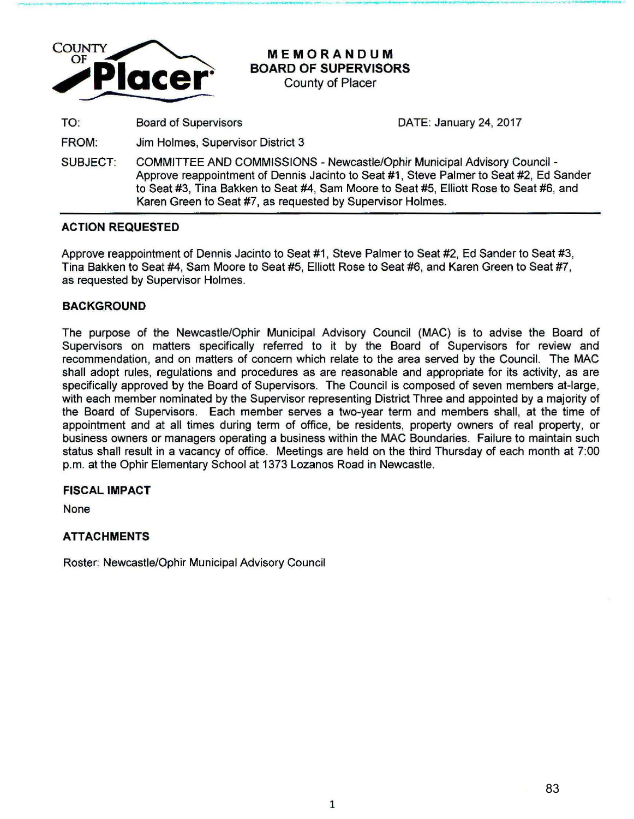

**MEMORANDUM BOARD OF SUPERVISORS** 

-------------------- ------------·------ **----·------· - \_.\_ ..........** \_\_\_..\_~ **... . (II ............** 

County of Placer

TO: Board of Supervisors DATE: January 24, 2017

FROM: Jim Holmes, Supervisor District 3

SUBJECT: COMMITTEE AND COMMISSIONS - Newcastle/Ophir Municipal Advisory Council - Approve reappointment of Dennis Jacinto to Seat #1 , Steve Palmer to Seat #2, Ed Sander to Seat #3, Tina Bakken to Seat #4, Sam Moore to Seat #5, Elliott Rose to Seat #6, and Karen Green to Seat #7, as requested by Supervisor Holmes.

# **ACTION REQUESTED**

Approve reappointment of Dennis Jacinto to Seat #1, Steve Palmer to Seat #2, Ed Sander to Seat #3, Tina Bakken to Seat #4, Sam Moore to Seat #5, Elliott Rose to Seat #6, and Karen Green to Seat #7, as requested by Supervisor Holmes.

## **BACKGROUND**

The purpose of the Newcastle/Ophir Municipal Advisory Council (MAC) is to advise the Board of Supervisors on matters specifically referred to it by the Board of Supervisors for review and recommendation, and on matters of concern which relate to the area served by the Council. The MAC shall adopt rules, regulations and procedures as are reasonable and appropriate for its activity, as are specifically approved by the Board of Supervisors. The Council is composed of seven members at-large, with each member nominated by the Supervisor representing District Three and appointed by a majority of the Board of Supervisors. Each member serves a two-year term and members shall, at the time of appointment and at all times during term of office, be residents, property owners of real property, or business owners or managers operating a business within the MAC Boundaries. Failure to maintain such status shall result in a vacancy of office. Meetings are held on the third Thursday of each month at 7:00 p.m. at the Ophir Elementary School at 1373 Lozanos Road in Newcastle.

## **FISCAL IMPACT**

None

# **ATTACHMENTS**

Roster: Newcastle/Ophir Municipal Advisory Council